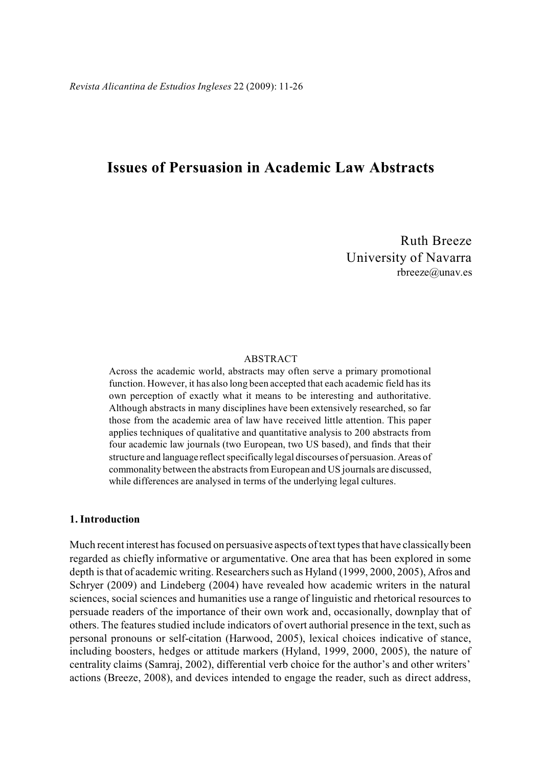# **Issues of Persuasion in Academic Law Abstracts**

Ruth Breeze University of Navarra rbreeze@unav.es

### ABSTRACT

Across the academic world, abstracts may often serve a primary promotional function. However, it has also long been accepted that each academic field has its own perception of exactly what it means to be interesting and authoritative. Although abstracts in many disciplines have been extensively researched, so far those from the academic area of law have received little attention. This paper applies techniques of qualitative and quantitative analysis to 200 abstracts from four academic law journals (two European, two US based), and finds that their structure and language reflect specifically legal discourses of persuasion. Areas of commonality between the abstracts from European and US journals are discussed, while differences are analysed in terms of the underlying legal cultures.

# **1. Introduction**

Much recent interest has focused on persuasive aspects of text types that have classically been regarded as chiefly informative or argumentative. One area that has been explored in some depth is that of academic writing. Researchers such as Hyland (1999, 2000, 2005), Afros and Schryer (2009) and Lindeberg (2004) have revealed how academic writers in the natural sciences, social sciences and humanities use a range of linguistic and rhetorical resources to persuade readers of the importance of their own work and, occasionally, downplay that of others. The features studied include indicators of overt authorial presence in the text, such as personal pronouns or self-citation (Harwood, 2005), lexical choices indicative of stance, including boosters, hedges or attitude markers (Hyland, 1999, 2000, 2005), the nature of centrality claims (Samraj, 2002), differential verb choice for the author's and other writers' actions (Breeze, 2008), and devices intended to engage the reader, such as direct address,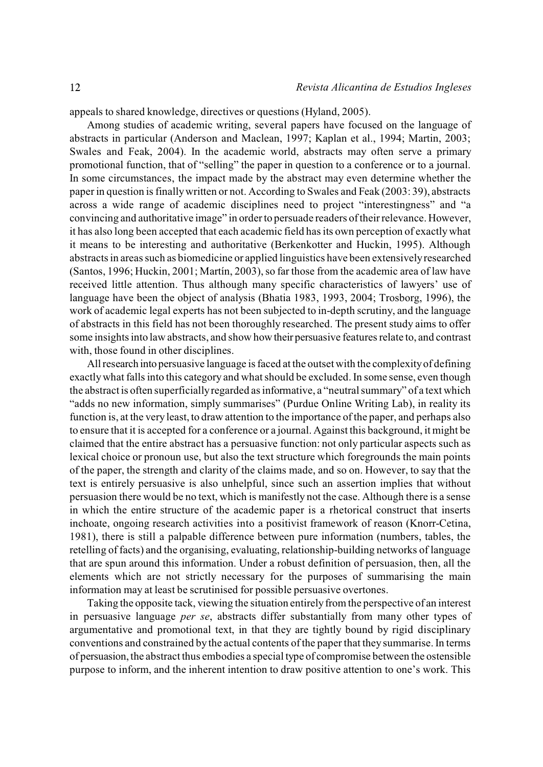appeals to shared knowledge, directives or questions (Hyland, 2005).

Among studies of academic writing, several papers have focused on the language of abstracts in particular (Anderson and Maclean, 1997; Kaplan et al., 1994; Martin, 2003; Swales and Feak, 2004). In the academic world, abstracts may often serve a primary promotional function, that of "selling" the paper in question to a conference or to a journal. In some circumstances, the impact made by the abstract may even determine whether the paper in question is finally written or not. According to Swales and Feak (2003: 39), abstracts across a wide range of academic disciplines need to project "interestingness" and "a convincing and authoritative image" in order to persuade readers of their relevance. However, it has also long been accepted that each academic field has its own perception of exactly what it means to be interesting and authoritative (Berkenkotter and Huckin, 1995). Although abstracts in areas such as biomedicine or applied linguistics have been extensively researched (Santos, 1996; Huckin, 2001; Martín, 2003), so far those from the academic area of law have received little attention. Thus although many specific characteristics of lawyers' use of language have been the object of analysis (Bhatia 1983, 1993, 2004; Trosborg, 1996), the work of academic legal experts has not been subjected to in-depth scrutiny, and the language of abstracts in this field has not been thoroughly researched. The present study aims to offer some insights into law abstracts, and show how their persuasive features relate to, and contrast with, those found in other disciplines.

All research into persuasive language is faced at the outset with the complexity of defining exactly what falls into this category and what should be excluded. In some sense, even though the abstract is often superficially regarded as informative, a "neutral summary" of a text which "adds no new information, simply summarises" (Purdue Online Writing Lab), in reality its function is, at the very least, to draw attention to the importance of the paper, and perhaps also to ensure that it is accepted for a conference or a journal. Against this background, it might be claimed that the entire abstract has a persuasive function: not only particular aspects such as lexical choice or pronoun use, but also the text structure which foregrounds the main points of the paper, the strength and clarity of the claims made, and so on. However, to say that the text is entirely persuasive is also unhelpful, since such an assertion implies that without persuasion there would be no text, which is manifestly not the case. Although there is a sense in which the entire structure of the academic paper is a rhetorical construct that inserts inchoate, ongoing research activities into a positivist framework of reason (Knorr-Cetina, 1981), there is still a palpable difference between pure information (numbers, tables, the retelling of facts) and the organising, evaluating, relationship-building networks of language that are spun around this information. Under a robust definition of persuasion, then, all the elements which are not strictly necessary for the purposes of summarising the main information may at least be scrutinised for possible persuasive overtones.

Taking the opposite tack, viewing the situation entirely from the perspective of an interest in persuasive language *per se*, abstracts differ substantially from many other types of argumentative and promotional text, in that they are tightly bound by rigid disciplinary conventions and constrained by the actual contents of the paper that they summarise. In terms of persuasion, the abstract thus embodies a special type of compromise between the ostensible purpose to inform, and the inherent intention to draw positive attention to one's work. This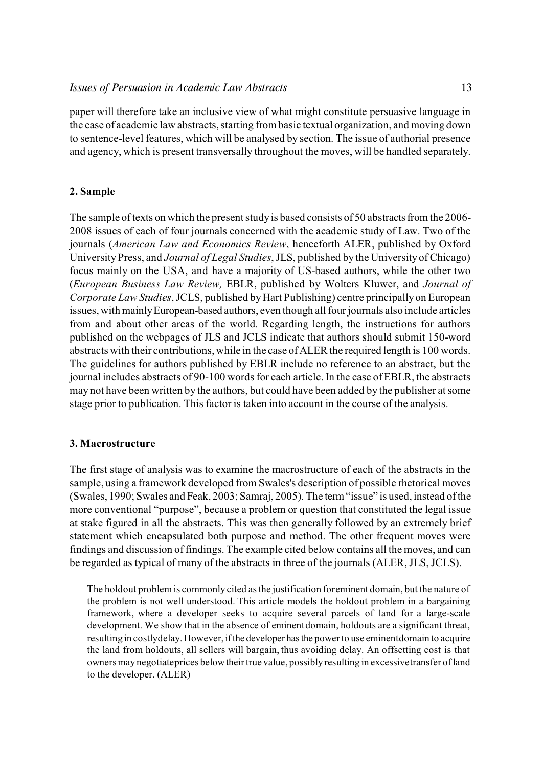paper will therefore take an inclusive view of what might constitute persuasive language in the case of academic law abstracts, starting from basic textual organization, and moving down to sentence-level features, which will be analysed by section. The issue of authorial presence and agency, which is present transversally throughout the moves, will be handled separately.

# **2. Sample**

The sample of texts on which the present study is based consists of 50 abstracts from the 2006- 2008 issues of each of four journals concerned with the academic study of Law. Two of the journals (*American Law and Economics Review*, henceforth ALER, published by Oxford University Press, and *Journal of Legal Studies*, JLS, published by the University of Chicago) focus mainly on the USA, and have a majority of US-based authors, while the other two (*European Business Law Review,* EBLR, published by Wolters Kluwer, and *Journal of Corporate Law Studies*, JCLS, published by Hart Publishing) centre principally on European issues, with mainly European-based authors, even though all four journals also include articles from and about other areas of the world. Regarding length, the instructions for authors published on the webpages of JLS and JCLS indicate that authors should submit 150-word abstracts with their contributions, while in the case of ALER the required length is 100 words. The guidelines for authors published by EBLR include no reference to an abstract, but the journal includes abstracts of 90-100 words for each article. In the case of EBLR, the abstracts may not have been written by the authors, but could have been added by the publisher at some stage prior to publication. This factor is taken into account in the course of the analysis.

# **3. Macrostructure**

The first stage of analysis was to examine the macrostructure of each of the abstracts in the sample, using a framework developed from Swales's description of possible rhetorical moves (Swales, 1990; Swales and Feak, 2003; Samraj, 2005). The term "issue" is used, instead of the more conventional "purpose", because a problem or question that constituted the legal issue at stake figured in all the abstracts. This was then generally followed by an extremely brief statement which encapsulated both purpose and method. The other frequent moves were findings and discussion offindings. The example cited below contains all the moves, and can be regarded as typical of many of the abstracts in three of the journals (ALER, JLS, JCLS).

The holdout problem is commonly cited asthe justification foreminent domain, but the nature of the problem is not well understood. This article models the holdout problem in a bargaining framework, where a developer seeks to acquire several parcels of land for a large-scale development. We show that in the absence of eminentdomain, holdouts are a significant threat, resulting in costlydelay. However, if the developer has the power to use eminentdomain to acquire the land from holdouts, all sellers will bargain, thus avoiding delay. An offsetting cost is that owners may negotiateprices below their true value, possibly resulting in excessivetransfer of land to the developer. (ALER)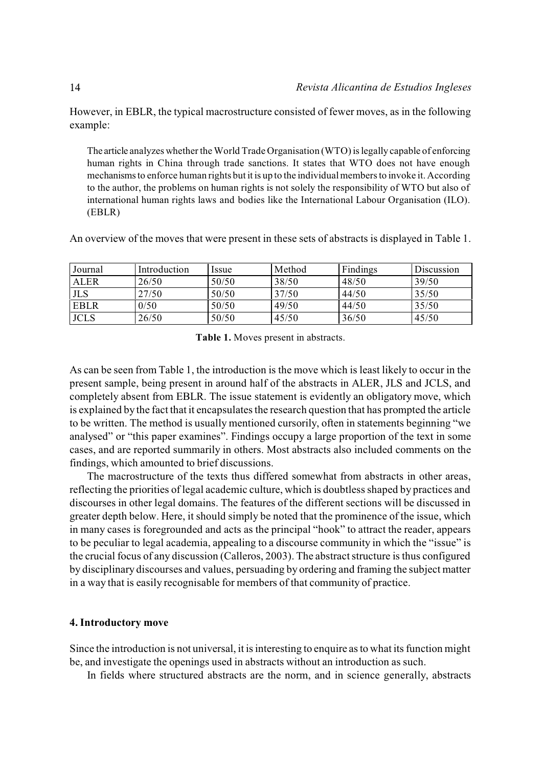However, in EBLR, the typical macrostructure consisted of fewer moves, as in the following example:

The article analyzes whether the World Trade Organisation (WTO) is legally capable of enforcing human rights in China through trade sanctions. It states that WTO does not have enough mechanisms to enforce human rights but it is up to the individual members to invoke it. According to the author, the problems on human rights is not solely the responsibility of WTO but also of international human rights laws and bodies like the International Labour Organisation (ILO). (EBLR)

An overview of the moves that were present in these sets of abstracts is displayed in Table 1.

| Journal     | Introduction | <i>ssue</i> | Method | Findings | Discussion |
|-------------|--------------|-------------|--------|----------|------------|
| <b>ALER</b> | 26/50        | 50/50       | 38/50  | 48/50    | 39/50      |
| <b>JLS</b>  | 27/50        | 50/50       | 37/50  | 44/50    | 35/50      |
| <b>EBLR</b> | 0/50         | 50/50       | 49/50  | 44/50    | 35/50      |
| <b>JCLS</b> | 26/50        | 50/50       | 45/50  | 36/50    | 45/50      |

**Table 1.** Moves present in abstracts.

As can be seen from Table 1, the introduction is the move which is least likely to occur in the present sample, being present in around half of the abstracts in ALER, JLS and JCLS, and completely absent from EBLR. The issue statement is evidently an obligatory move, which is explained by the fact that it encapsulates the research question that has prompted the article to be written. The method is usually mentioned cursorily, often in statements beginning "we analysed" or "this paper examines". Findings occupy a large proportion of the text in some cases, and are reported summarily in others. Most abstracts also included comments on the findings, which amounted to brief discussions.

The macrostructure of the texts thus differed somewhat from abstracts in other areas, reflecting the priorities of legal academic culture, which is doubtless shaped by practices and discourses in other legal domains. The features of the different sections will be discussed in greater depth below. Here, it should simply be noted that the prominence of the issue, which in many cases is foregrounded and acts as the principal "hook" to attract the reader, appears to be peculiar to legal academia, appealing to a discourse community in which the "issue" is the crucial focus of any discussion (Calleros, 2003). The abstract structure is thus configured by disciplinary discourses and values, persuading by ordering and framing the subject matter in a way that is easily recognisable for members of that community of practice.

# **4. Introductory move**

Since the introduction is not universal, it is interesting to enquire as to what its function might be, and investigate the openings used in abstracts without an introduction as such.

In fields where structured abstracts are the norm, and in science generally, abstracts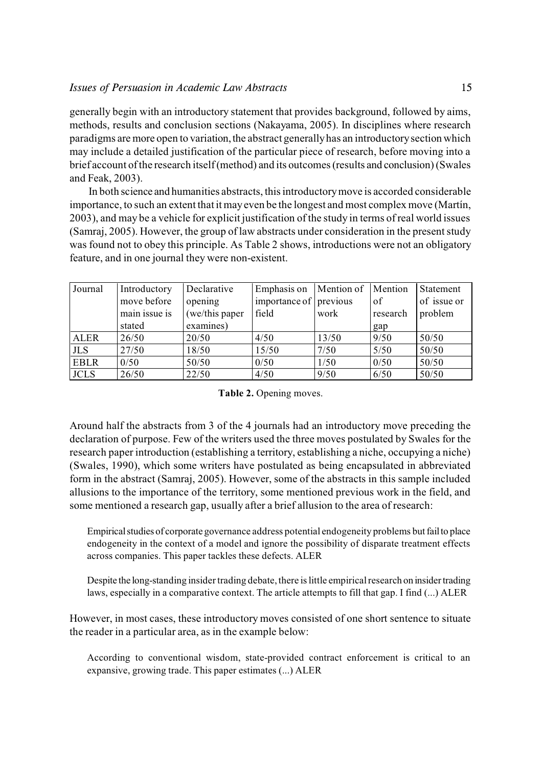generally begin with an introductory statement that provides background, followed by aims, methods, results and conclusion sections (Nakayama, 2005). In disciplines where research paradigms are more open to variation, the abstract generally has an introductory section which may include a detailed justification of the particular piece of research, before moving into a brief account of the research itself (method) and its outcomes (results and conclusion) (Swales and Feak, 2003).

 In both science and humanities abstracts, this introductory move is accorded considerable importance, to such an extent that itmayeven be the longest and most complex move (Martín, 2003), and may be a vehicle for explicit justification of the study in terms of real world issues (Samraj, 2005). However, the group of law abstracts under consideration in the present study was found not to obey this principle. As Table 2 shows, introductions were not an obligatory feature, and in one journal they were non-existent.

| Journal     | Introductory  | Declarative    | Emphasis on            | Mention of | Mention  | Statement   |
|-------------|---------------|----------------|------------------------|------------|----------|-------------|
|             | move before   | opening        | importance of previous |            | of       | of issue or |
|             | main issue is | (we/this paper | field                  | work       | research | problem     |
|             | stated        | examines)      |                        |            | gap      |             |
| <b>ALER</b> | 26/50         | 20/50          | 4/50                   | 13/50      | 9/50     | 50/50       |
| <b>JLS</b>  | 27/50         | 18/50          | 15/50                  | 7/50       | 5/50     | 50/50       |
| <b>EBLR</b> | 0/50          | 50/50          | 0/50                   | 1/50       | 0/50     | 50/50       |
| <b>JCLS</b> | 26/50         | 22/50          | 4/50                   | 9/50       | 6/50     | 50/50       |

**Table 2.** Opening moves.

Around half the abstracts from 3 of the 4 journals had an introductory move preceding the declaration of purpose. Few of the writers used the three moves postulated by Swales for the research paper introduction (establishing a territory, establishing a niche, occupying a niche) (Swales, 1990), which some writers have postulated as being encapsulated in abbreviated form in the abstract (Samraj, 2005). However, some of the abstracts in this sample included allusions to the importance of the territory, some mentioned previous work in the field, and some mentioned a research gap, usually after a brief allusion to the area of research:

Empirical studies of corporate governance address potential endogeneity problems but fail to place endogeneity in the context of a model and ignore the possibility of disparate treatment effects across companies. This paper tackles these defects. ALER

Despite the long-standing insider trading debate, there is little empirical research on insider trading laws, especially in a comparative context. The article attempts to fill that gap. I find (...) ALER

However, in most cases, these introductory moves consisted of one short sentence to situate the reader in a particular area, as in the example below:

According to conventional wisdom, state-provided contract enforcement is critical to an expansive, growing trade. This paper estimates (...) ALER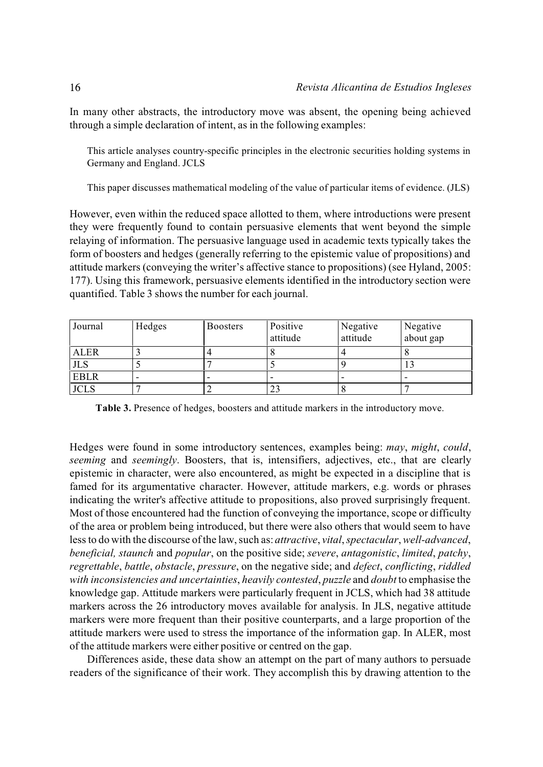In many other abstracts, the introductory move was absent, the opening being achieved through a simple declaration of intent, as in the following examples:

This article analyses country-specific principles in the electronic securities holding systems in Germany and England. JCLS

This paper discusses mathematical modeling of the value of particular items of evidence. (JLS)

However, even within the reduced space allotted to them, where introductions were present they were frequently found to contain persuasive elements that went beyond the simple relaying of information. The persuasive language used in academic texts typically takes the form of boosters and hedges (generally referring to the epistemic value of propositions) and attitude markers (conveying the writer's affective stance to propositions) (see Hyland, 2005: 177). Using this framework, persuasive elements identified in the introductory section were quantified. Table 3 shows the number for each journal.

| Journal     | Hedges | <b>Boosters</b> | Positive<br>attitude | Negative<br>attitude | Negative<br>about gap |
|-------------|--------|-----------------|----------------------|----------------------|-----------------------|
| <b>ALER</b> |        |                 |                      |                      |                       |
| <b>JLS</b>  |        |                 |                      |                      | LJ                    |
| <b>EBLR</b> | -      |                 |                      |                      |                       |
| <b>JCLS</b> |        |                 | 23                   |                      |                       |

**Table 3.** Presence of hedges, boosters and attitude markers in the introductory move.

Hedges were found in some introductory sentences, examples being: *may*, *might*, *could*, *seeming* and *seemingly*. Boosters, that is, intensifiers, adjectives, etc., that are clearly epistemic in character, were also encountered, as might be expected in a discipline that is famed for its argumentative character. However, attitude markers, e.g. words or phrases indicating the writer's affective attitude to propositions, also proved surprisingly frequent. Most of those encountered had the function of conveying the importance, scope or difficulty of the area or problem being introduced, but there were also others that would seem to have less to do with the discourse of the law, such as: *attractive*, *vital*, *spectacular*, *well-advanced*, *beneficial, staunch* and *popular*, on the positive side; *severe*, *antagonistic*, *limited*, *patchy*, *regrettable*, *battle*, *obstacle*, *pressure*, on the negative side; and *defect*, *conflicting*, *riddled with inconsistencies and uncertainties*, *heavily contested*, *puzzle* and *doubt* to emphasise the knowledge gap. Attitude markers were particularly frequent in JCLS, which had 38 attitude markers across the 26 introductory moves available for analysis. In JLS, negative attitude markers were more frequent than their positive counterparts, and a large proportion of the attitude markers were used to stress the importance of the information gap. In ALER, most of the attitude markers were either positive or centred on the gap.

Differences aside, these data show an attempt on the part of many authors to persuade readers of the significance of their work. They accomplish this by drawing attention to the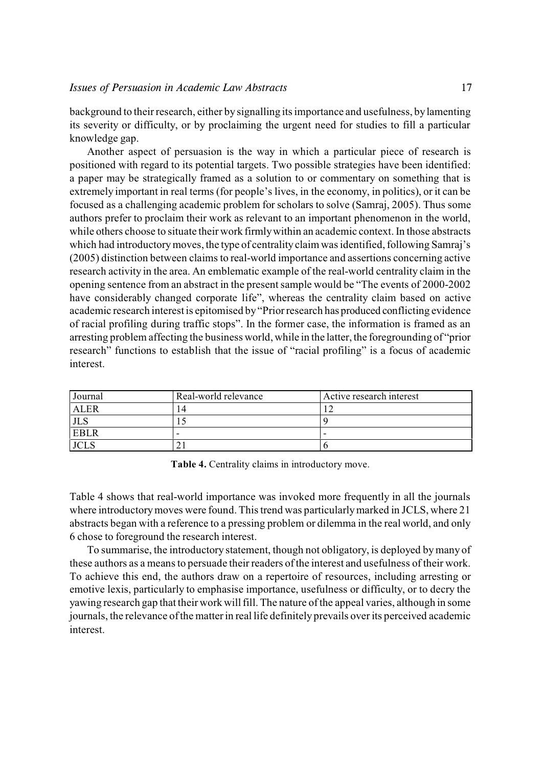background to their research, either by signalling its importance and usefulness, by lamenting its severity or difficulty, or by proclaiming the urgent need for studies to fill a particular knowledge gap.

Another aspect of persuasion is the way in which a particular piece of research is positioned with regard to its potential targets. Two possible strategies have been identified: a paper may be strategically framed as a solution to or commentary on something that is extremely important in real terms (for people's lives, in the economy, in politics), or it can be focused as a challenging academic problem for scholars to solve (Samraj, 2005). Thus some authors prefer to proclaim their work as relevant to an important phenomenon in the world, while others choose to situate their work firmlywithin an academic context. In those abstracts which had introductory moves, the type of centralityclaim wasidentified, following Samraj's (2005) distinction between claims to real-world importance and assertions concerning active research activity in the area. An emblematic example of the real-world centrality claim in the opening sentence from an abstract in the presentsample would be "The events of 2000-2002 have considerably changed corporate life", whereas the centrality claim based on active academic research interest is epitomised by "Prior research has produced conflicting evidence of racial profiling during traffic stops". In the former case, the information is framed as an arresting problem affecting the business world, while in the latter, the foregrounding of "prior research" functions to establish that the issue of "racial profiling" is a focus of academic interest.

| Journal     | Real-world relevance | Active research interest |
|-------------|----------------------|--------------------------|
| ALER        | $\overline{4}$       |                          |
|             |                      |                          |
| <b>EBLR</b> |                      | -                        |
|             |                      |                          |

**Table 4.** Centrality claims in introductory move.

Table 4 shows that real-world importance was invoked more frequently in all the journals where introductory moves were found. This trend was particularly marked in JCLS, where 21 abstracts began with a reference to a pressing problem or dilemma in the real world, and only 6 chose to foreground the research interest.

To summarise, the introductory statement, though not obligatory, is deployed bymany of these authors as a meansto persuade their readers of the interest and usefulness of their work. To achieve this end, the authors draw on a repertoire of resources, including arresting or emotive lexis, particularly to emphasise importance, usefulness or difficulty, or to decry the yawing research gap that their work will fill. The nature ofthe appeal varies, although in some journals, the relevance ofthe matterin real life definitely prevails over its perceived academic interest.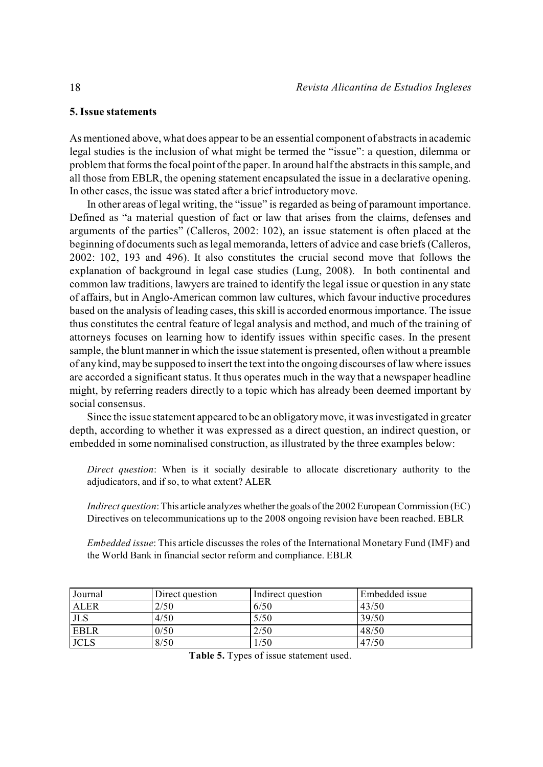# **5. Issue statements**

As mentioned above, what does appear to be an essential component of abstracts in academic legal studies is the inclusion of what might be termed the "issue": a question, dilemma or problem that forms the focal point of the paper.In around halfthe abstracts in this sample, and all those from EBLR, the opening statement encapsulated the issue in a declarative opening. In other cases, the issue was stated after a brief introductory move.

In other areas of legal writing, the "issue" is regarded as being of paramount importance. Defined as "a material question of fact or law that arises from the claims, defenses and arguments of the parties" (Calleros, 2002: 102), an issue statement is often placed at the beginning of documents such as legal memoranda, letters of advice and case briefs (Calleros, 2002: 102, 193 and 496). It also constitutes the crucial second move that follows the explanation of background in legal case studies (Lung, 2008). In both continental and common law traditions, lawyers are trained to identify the legal issue or question in any state of affairs, but in Anglo-American common law cultures, which favour inductive procedures based on the analysis of leading cases, this skill is accorded enormous importance. The issue thus constitutes the central feature of legal analysis and method, and much of the training of attorneys focuses on learning how to identify issues within specific cases. In the present sample, the blunt manner in which the issue statement is presented, often without a preamble of anykind, maybe supposed to insert the text into the ongoing discourses oflaw where issues are accorded a significant status. It thus operates much in the way that a newspaper headline might, by referring readers directly to a topic which has already been deemed important by social consensus.

Since the issue statement appeared to be an obligatory move, it was investigated in greater depth, according to whether it was expressed as a direct question, an indirect question, or embedded in some nominalised construction, as illustrated by the three examples below:

*Direct question*: When is it socially desirable to allocate discretionary authority to the adjudicators, and if so, to what extent? ALER

*Indirect question*: This article analyzes whether the goals of the 2002 European Commission (EC) Directives on telecommunications up to the 2008 ongoing revision have been reached. EBLR

*Embedded issue*: This article discusses the roles of the International Monetary Fund (IMF) and the World Bank in financial sector reform and compliance. EBLR

| Journal     | Direct question | Indirect question | Embedded issue |
|-------------|-----------------|-------------------|----------------|
| <b>ALER</b> | 2/50            | 6/50              | 43/50          |
| <b>JLS</b>  | 4/50            | 5/50              | 39/50          |
| <b>EBLR</b> | 0/50            | 2/50              | 48/50          |
| <b>JCLS</b> | 8/50            | /50               | 47/50          |

**Table 5.** Types of issue statement used.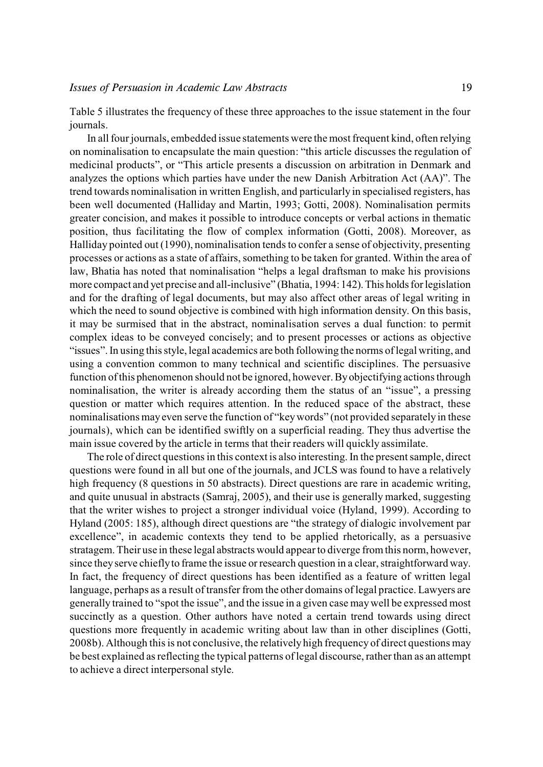Table 5 illustrates the frequency of these three approaches to the issue statement in the four journals.

In all four journals, embedded issue statements were the most frequent kind, often relying on nominalisation to encapsulate the main question: "this article discusses the regulation of medicinal products", or "This article presents a discussion on arbitration in Denmark and analyzes the options which parties have under the new Danish Arbitration Act (AA)". The trend towards nominalisation in written English, and particularly in specialised registers, has been well documented (Halliday and Martin, 1993; Gotti, 2008). Nominalisation permits greater concision, and makes it possible to introduce concepts or verbal actions in thematic position, thus facilitating the flow of complex information (Gotti, 2008). Moreover, as Halliday pointed out (1990), nominalisation tends to confer a sense of objectivity, presenting processes or actions as a state of affairs, something to be taken for granted. Within the area of law, Bhatia has noted that nominalisation "helps a legal draftsman to make his provisions more compact and yet precise and all-inclusive" (Bhatia, 1994: 142). This holds for legislation and for the drafting of legal documents, but may also affect other areas of legal writing in which the need to sound objective is combined with high information density. On this basis, it may be surmised that in the abstract, nominalisation serves a dual function: to permit complex ideas to be conveyed concisely; and to present processes or actions as objective "issues". In using this style, legal academics are both following the norms of legal writing, and using a convention common to many technical and scientific disciplines. The persuasive function of this phenomenon should not be ignored, however. By objectifying actions through nominalisation, the writer is already according them the status of an "issue", a pressing question or matter which requires attention. In the reduced space of the abstract, these nominalisations mayeven serve the function of "key words" (not provided separately in these journals), which can be identified swiftly on a superficial reading. They thus advertise the main issue covered by the article in terms that their readers will quickly assimilate.

The role of direct questions in this context is also interesting. In the present sample, direct questions were found in all but one of the journals, and JCLS was found to have a relatively high frequency (8 questions in 50 abstracts). Direct questions are rare in academic writing, and quite unusual in abstracts (Samraj, 2005), and their use is generally marked, suggesting that the writer wishes to project a stronger individual voice (Hyland, 1999). According to Hyland (2005: 185), although direct questions are "the strategy of dialogic involvement par excellence", in academic contexts they tend to be applied rhetorically, as a persuasive stratagem. Their use in these legal abstracts would appear to diverge from this norm, however, since they serve chiefly to frame the issue orresearch question in a clear, straightforward way. In fact, the frequency of direct questions has been identified as a feature of written legal language, perhaps as a result of transfer from the other domains of legal practice. Lawyers are generally trained to "spot the issue", and the issue in a given case may well be expressed most succinctly as a question. Other authors have noted a certain trend towards using direct questions more frequently in academic writing about law than in other disciplines (Gotti, 2008b). Although this is not conclusive, the relatively high frequency of direct questions may be best explained as reflecting the typical patterns of legal discourse, rather than as an attempt to achieve a direct interpersonal style.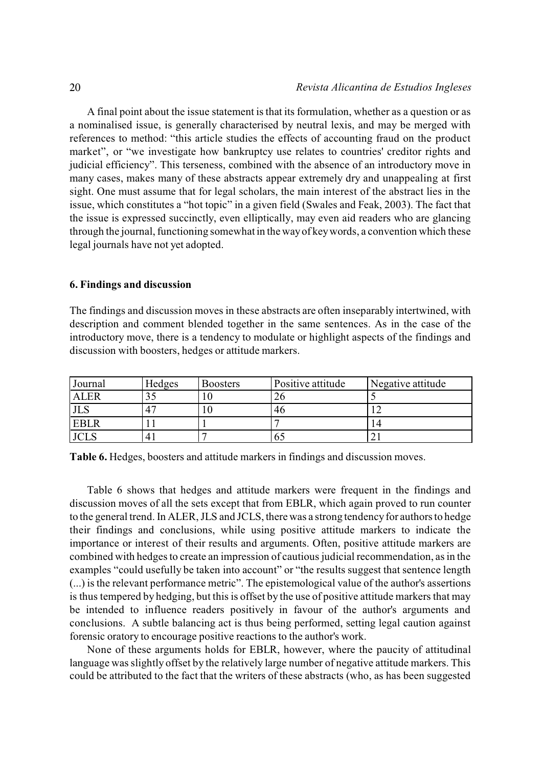A final point about the issue statement is that its formulation, whether as a question or as a nominalised issue, is generally characterised by neutral lexis, and may be merged with references to method: "this article studies the effects of accounting fraud on the product market", or "we investigate how bankruptcy use relates to countries' creditor rights and judicial efficiency". This terseness, combined with the absence of an introductory move in many cases, makes many of these abstracts appear extremely dry and unappealing at first sight. One must assume that for legal scholars, the main interest of the abstract lies in the issue, which constitutes a "hot topic" in a given field (Swales and Feak, 2003). The fact that the issue is expressed succinctly, even elliptically, may even aid readers who are glancing through the journal, functioning somewhat in the wayof keywords, a convention which these legal journals have not yet adopted.

## **6. Findings and discussion**

The findings and discussion moves in these abstracts are often inseparably intertwined, with description and comment blended together in the same sentences. As in the case of the introductory move, there is a tendency to modulate or highlight aspects of the findings and discussion with boosters, hedges or attitude markers.

| Journal     | Hedges         | <b>Boosters</b> | Positive attitude | Negative attitude |
|-------------|----------------|-----------------|-------------------|-------------------|
| <b>ALER</b> |                |                 |                   |                   |
|             | 4 <sup>7</sup> |                 | 46                |                   |
| <b>EBLR</b> |                |                 |                   | 14                |
|             | 4              |                 | oг                |                   |

**Table 6.** Hedges, boosters and attitude markers in findings and discussion moves.

Table 6 shows that hedges and attitude markers were frequent in the findings and discussion moves of all the sets except that from EBLR, which again proved to run counter to the general trend. In ALER, JLS and JCLS, there was a strong tendency for authors to hedge their findings and conclusions, while using positive attitude markers to indicate the importance or interest of their results and arguments. Often, positive attitude markers are combined with hedges to create an impression of cautious judicial recommendation, as in the examples "could usefully be taken into account" or "the results suggest that sentence length (...) is the relevant performance metric". The epistemological value of the author's assertions is thus tempered by hedging, but this is offset by the use of positive attitude markers that may be intended to influence readers positively in favour of the author's arguments and conclusions. A subtle balancing act is thus being performed, setting legal caution against forensic oratory to encourage positive reactions to the author's work.

None of these arguments holds for EBLR, however, where the paucity of attitudinal language was slightly offset by the relatively large number of negative attitude markers. This could be attributed to the fact that the writers of these abstracts (who, as has been suggested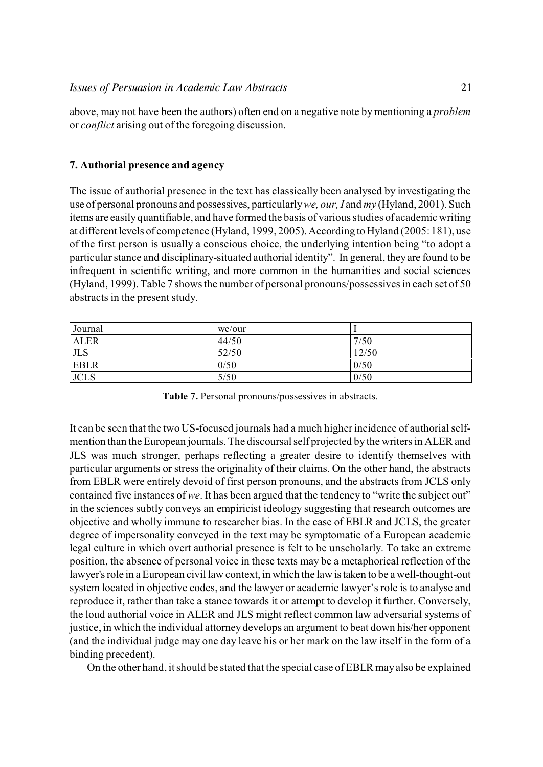above, may not have been the authors) often end on a negative note by mentioning a *problem* or *conflict* arising out of the foregoing discussion.

# **7. Authorial presence and agency**

The issue of authorial presence in the text has classically been analysed by investigating the use of personal pronouns and possessives, particularly *we, our, I* and *my* (Hyland, 2001). Such items are easily quantifiable, and have formed the basis of various studies of academic writing at different levels of competence (Hyland, 1999, 2005). According to Hyland (2005: 181), use of the first person is usually a conscious choice, the underlying intention being "to adopt a particularstance and disciplinary-situated authorial identity". In general, they are found to be infrequent in scientific writing, and more common in the humanities and social sciences (Hyland, 1999).Table 7 showsthe number of personal pronouns/possessives in each set of 50 abstracts in the present study.

| Journal     | we/our |       |
|-------------|--------|-------|
| <b>ALER</b> | 44/50  | 7/50  |
| <b>JLS</b>  | 52/50  | 12/50 |
| <b>EBLR</b> | 0/50   | 0/50  |
| <b>JCLS</b> | 5/50   | 0/50  |

**Table 7.** Personal pronouns/possessives in abstracts.

It can be seen that the two US-focused journals had a much higher incidence of authorial selfmention than the European journals. The discoursal self projected by the writers in ALER and JLS was much stronger, perhaps reflecting a greater desire to identify themselves with particular arguments or stress the originality of their claims. On the other hand, the abstracts from EBLR were entirely devoid of first person pronouns, and the abstracts from JCLS only contained five instances of *we*. It has been argued that the tendency to "write the subject out" in the sciences subtly conveys an empiricist ideology suggesting that research outcomes are objective and wholly immune to researcher bias. In the case of EBLR and JCLS, the greater degree of impersonality conveyed in the text may be symptomatic of a European academic legal culture in which overt authorial presence is felt to be unscholarly. To take an extreme position, the absence of personal voice in these texts may be a metaphorical reflection of the lawyer's role in a European civil law context, in which the law is taken to be a well-thought-out system located in objective codes, and the lawyer or academic lawyer's role is to analyse and reproduce it, rather than take a stance towards it or attempt to develop it further. Conversely, the loud authorial voice in ALER and JLS might reflect common law adversarial systems of justice, in which the individual attorney develops an argument to beat down his/her opponent (and the individual judge may one day leave his or her mark on the law itself in the form of a binding precedent).

On the other hand, itshould be stated that the special case of EBLR may also be explained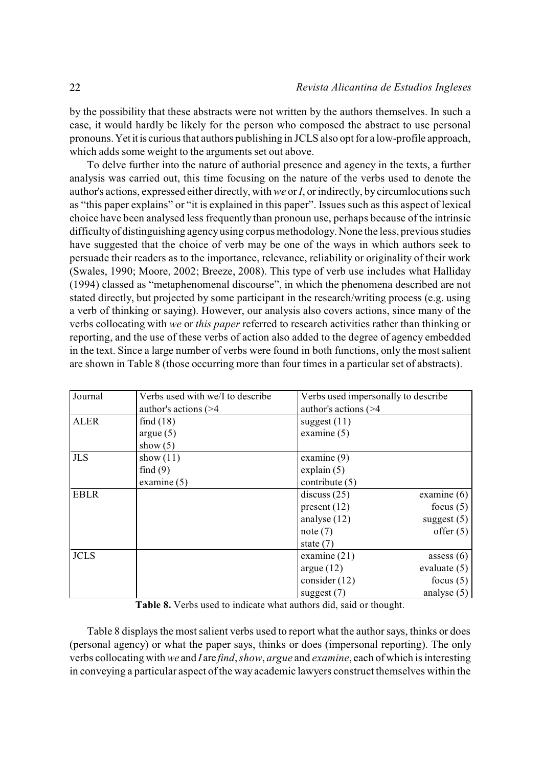by the possibility that these abstracts were not written by the authors themselves. In such a case, it would hardly be likely for the person who composed the abstract to use personal pronouns. Yet it is curious that authors publishing in JCLS also opt for a low-profile approach, which adds some weight to the arguments set out above.

To delve further into the nature of authorial presence and agency in the texts, a further analysis was carried out, this time focusing on the nature of the verbs used to denote the author's actions, expressed either directly, with *we* or *I*, or indirectly, by circumlocutions such as "this paper explains" or "it is explained in this paper". Issues such as this aspect of lexical choice have been analysed less frequently than pronoun use, perhaps because of the intrinsic difficulty of distinguishing agency using corpus methodology. None the less, previous studies have suggested that the choice of verb may be one of the ways in which authors seek to persuade their readers as to the importance, relevance, reliability or originality of their work (Swales, 1990; Moore, 2002; Breeze, 2008). This type of verb use includes what Halliday (1994) classed as "metaphenomenal discourse", in which the phenomena described are not stated directly, but projected by some participant in the research/writing process (e.g. using a verb of thinking or saying). However, our analysis also covers actions, since many of the verbs collocating with *we* or *this paper* referred to research activities rather than thinking or reporting, and the use of these verbs of action also added to the degree of agency embedded in the text. Since a large number of verbs were found in both functions, only the most salient are shown in Table 8 (those occurring more than four times in a particular set of abstracts).

| Journal     | Verbs used with we/I to describe | Verbs used impersonally to describe |
|-------------|----------------------------------|-------------------------------------|
|             | author's actions $($             | author's actions (>4                |
| <b>ALER</b> | find $(18)$                      | suggest $(11)$                      |
|             | argue(5)                         | examine $(5)$                       |
|             | show $(5)$                       |                                     |
| <b>JLS</b>  | show $(11)$                      | examine $(9)$                       |
|             | find(9)                          | explain $(5)$                       |
|             | examine $(5)$                    | contribute $(5)$                    |
| <b>EBLR</b> |                                  | discuss $(25)$<br>examine $(6)$     |
|             |                                  | present $(12)$<br>focus $(5)$       |
|             |                                  | analyse $(12)$<br>suggest $(5)$     |
|             |                                  | offer $(5)$<br>note $(7)$           |
|             |                                  | state $(7)$                         |
| <b>JCLS</b> |                                  | examine $(21)$<br>assess $(6)$      |
|             |                                  | evaluate $(5)$<br>argue $(12)$      |
|             |                                  | consider $(12)$<br>focus $(5)$      |
|             |                                  | analyse $(5)$<br>suggest $(7)$      |

**Table 8.** Verbs used to indicate what authors did, said or thought.

Table 8 displays the most salient verbs used to report what the author says, thinks or does (personal agency) or what the paper says, thinks or does (impersonal reporting). The only verbs collocating with *we* and *I* are *find*, *show*, *argue* and *examine*, each of which is interesting in conveying a particular aspect of the way academic lawyers construct themselves within the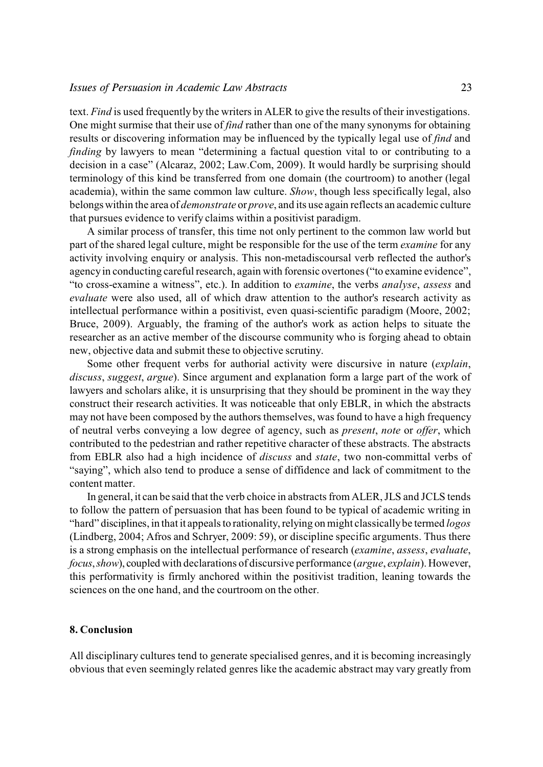## *Issues of Persuasion in Academic Law Abstracts* 23

text. *Find* is used frequently by the writers in ALER to give the results of their investigations. One might surmise that their use of *find* rather than one of the many synonyms for obtaining results or discovering information may be influenced by the typically legal use of *find* and *finding* by lawyers to mean "determining a factual question vital to or contributing to a decision in a case" (Alcaraz, 2002; Law.Com, 2009). It would hardly be surprising should terminology of this kind be transferred from one domain (the courtroom) to another (legal academia), within the same common law culture. *Show*, though less specifically legal, also belongs within the area of *demonstrate* or *prove*, and its use again reflects an academic culture that pursues evidence to verify claims within a positivist paradigm.

A similar process of transfer, this time not only pertinent to the common law world but part of the shared legal culture, might be responsible for the use of the term *examine* for any activity involving enquiry or analysis. This non-metadiscoursal verb reflected the author's agency in conducting careful research, again with forensic overtones ("to examine evidence", "to cross-examine a witness", etc.). In addition to *examine*, the verbs *analyse*, *assess* and *evaluate* were also used, all of which draw attention to the author's research activity as intellectual performance within a positivist, even quasi-scientific paradigm (Moore, 2002; Bruce, 2009). Arguably, the framing of the author's work as action helps to situate the researcher as an active member of the discourse community who is forging ahead to obtain new, objective data and submit these to objective scrutiny.

Some other frequent verbs for authorial activity were discursive in nature (*explain*, *discuss*, *suggest*, *argue*). Since argument and explanation form a large part of the work of lawyers and scholars alike, it is unsurprising that they should be prominent in the way they construct their research activities. It was noticeable that only EBLR, in which the abstracts may not have been composed by the authors themselves, was found to have a high frequency of neutral verbs conveying a low degree of agency, such as *present*, *note* or *offer*, which contributed to the pedestrian and rather repetitive character of these abstracts. The abstracts from EBLR also had a high incidence of *discuss* and *state*, two non-committal verbs of "saying", which also tend to produce a sense of diffidence and lack of commitment to the content matter.

In general, it can be said that the verb choice in abstracts from ALER, JLS and JCLS tends to follow the pattern of persuasion that has been found to be typical of academic writing in "hard" disciplines, in that it appeals to rationality, relying on might classically be termed *logos* (Lindberg, 2004; Afros and Schryer, 2009: 59), or discipline specific arguments. Thus there is a strong emphasis on the intellectual performance of research (*examine*, *assess*, *evaluate*, *focus*, *show*), coupled with declarations of discursive performance (*argue*, *explain*). However, this performativity is firmly anchored within the positivist tradition, leaning towards the sciences on the one hand, and the courtroom on the other.

## **8. Conclusion**

All disciplinary cultures tend to generate specialised genres, and it is becoming increasingly obvious that even seemingly related genres like the academic abstract may vary greatly from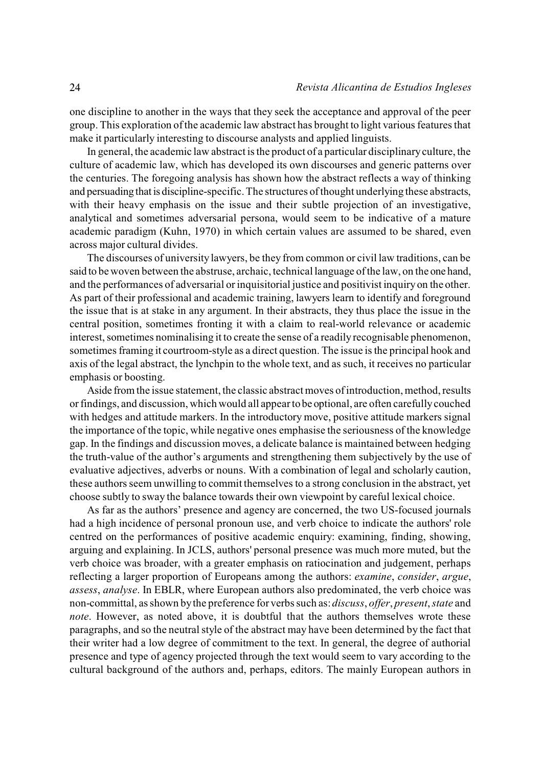one discipline to another in the ways that they seek the acceptance and approval of the peer group. This exploration of the academic law abstract has brought to light various features that make it particularly interesting to discourse analysts and applied linguists.

In general, the academic law abstract is the product of a particular disciplinary culture, the culture of academic law, which has developed its own discourses and generic patterns over the centuries. The foregoing analysis has shown how the abstract reflects a way of thinking and persuading that is discipline-specific. The structures of thought underlying these abstracts, with their heavy emphasis on the issue and their subtle projection of an investigative, analytical and sometimes adversarial persona, would seem to be indicative of a mature academic paradigm (Kuhn, 1970) in which certain values are assumed to be shared, even across major cultural divides.

The discourses of university lawyers, be they from common or civil law traditions, can be said to be woven between the abstruse, archaic, technical language of the law, on the one hand, and the performances of adversarial or inquisitorial justice and positivist inquiry on the other. As part of their professional and academic training, lawyers learn to identify and foreground the issue that is at stake in any argument. In their abstracts, they thus place the issue in the central position, sometimes fronting it with a claim to real-world relevance or academic interest, sometimes nominalising it to create the sense of a readily recognisable phenomenon, sometimes framing it courtroom-style as a direct question. The issue is the principal hook and axis of the legal abstract, the lynchpin to the whole text, and as such, it receives no particular emphasis or boosting.

Aside from the issue statement, the classic abstract moves of introduction, method, results or findings, and discussion, which would all appear to be optional, are often carefully couched with hedges and attitude markers. In the introductory move, positive attitude markers signal the importance of the topic, while negative ones emphasise the seriousness of the knowledge gap. In the findings and discussion moves, a delicate balance is maintained between hedging the truth-value of the author's arguments and strengthening them subjectively by the use of evaluative adjectives, adverbs or nouns. With a combination of legal and scholarly caution, these authors seem unwilling to commit themselves to a strong conclusion in the abstract, yet choose subtly to sway the balance towards their own viewpoint by careful lexical choice.

As far as the authors' presence and agency are concerned, the two US-focused journals had a high incidence of personal pronoun use, and verb choice to indicate the authors' role centred on the performances of positive academic enquiry: examining, finding, showing, arguing and explaining. In JCLS, authors' personal presence was much more muted, but the verb choice was broader, with a greater emphasis on ratiocination and judgement, perhaps reflecting a larger proportion of Europeans among the authors: *examine*, *consider*, *argue*, *assess*, *analyse*. In EBLR, where European authors also predominated, the verb choice was non-committal, as shown by the preference for verbs such as: *discuss*, *offer*, *present*, *state* and *note*. However, as noted above, it is doubtful that the authors themselves wrote these paragraphs, and so the neutral style of the abstract may have been determined by the fact that their writer had a low degree of commitment to the text. In general, the degree of authorial presence and type of agency projected through the text would seem to vary according to the cultural background of the authors and, perhaps, editors. The mainly European authors in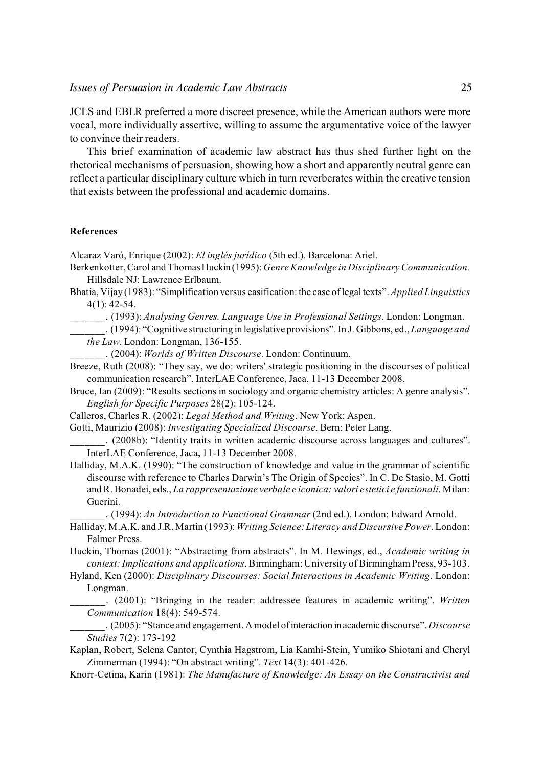JCLS and EBLR preferred a more discreet presence, while the American authors were more vocal, more individually assertive, willing to assume the argumentative voice of the lawyer to convince their readers.

This brief examination of academic law abstract has thus shed further light on the rhetorical mechanisms of persuasion, showing how a short and apparently neutral genre can reflect a particular disciplinary culture which in turn reverberates within the creative tension that exists between the professional and academic domains.

#### **References**

Alcaraz Varó, Enrique (2002): *El inglés jurídico* (5th ed.). Barcelona: Ariel.

- Berkenkotter, Carol and Thomas Huckin (1995): *Genre Knowledge in Disciplinary Communication.* Hillsdale NJ: Lawrence Erlbaum.
- Bhatia, Vijay (1983): "Simplification versus easification: the case of legal texts". *Applied Linguistics* 4(1): 42-54.
	- \_\_\_\_\_\_\_. (1993): *Analysing Genres. Language Use in Professional Settings*. London: Longman.
	- \_\_\_\_\_\_\_. (1994): "Cognitive structuring in legislative provisions". In J. Gibbons, ed., *Language and the Law*. London: Longman, 136-155.
		- \_\_\_\_\_\_\_. (2004): *Worlds of Written Discourse*. London: Continuum.
- Breeze, Ruth (2008): "They say, we do: writers' strategic positioning in the discourses of political communication research". InterLAE Conference, Jaca, 11-13 December 2008.
- Bruce, Ian (2009): "Results sections in sociology and organic chemistry articles: A genre analysis". *English for Specific Purposes* 28(2): 105-124.
- Calleros, Charles R. (2002): *Legal Method and Writing*. New York: Aspen.
- Gotti, Maurizio (2008): *Investigating Specialized Discourse*. Bern: Peter Lang.

\_\_\_\_\_\_\_. (2008b): "Identity traits in written academic discourse across languages and cultures". InterLAE Conference, Jaca**,** 11-13 December 2008.

Halliday, M.A.K. (1990): "The construction of knowledge and value in the grammar of scientific discourse with reference to Charles Darwin's The Origin of Species". In C. De Stasio, M. Gotti and R. Bonadei, eds., *La rappresentazione verbale e iconica: valori estetici e funzionali.* Milan: Guerini.

\_\_\_\_\_\_\_. (1994): *An Introduction to Functional Grammar* (2nd ed.). London: Edward Arnold.

- Halliday, M.A.K. and J.R. Martin (1993): *Writing Science: Literacy and Discursive Power*. London: Falmer Press.
- Huckin, Thomas (2001): "Abstracting from abstracts". In M. Hewings, ed., *Academic writing in context: Implications and applications*. Birmingham: University of Birmingham Press, 93-103.
- Hyland, Ken (2000): *Disciplinary Discourses: Social Interactions in Academic Writing*. London: Longman.
	- \_\_\_\_\_\_\_. (2001): "Bringing in the reader: addressee features in academic writing". *Written Communication* 18(4): 549-574.
- \_\_\_\_\_\_\_. (2005): "Stance and engagement. A model of interaction in academic discourse". *Discourse Studies* 7(2): 173-192
- Kaplan, Robert, Selena Cantor, Cynthia Hagstrom, Lia Kamhi-Stein, Yumiko Shiotani and Cheryl Zimmerman (1994): "On abstract writing". *Text* **14**(3): 401-426.
- Knorr-Cetina, Karin (1981): *The Manufacture of Knowledge: An Essay on the Constructivist and*